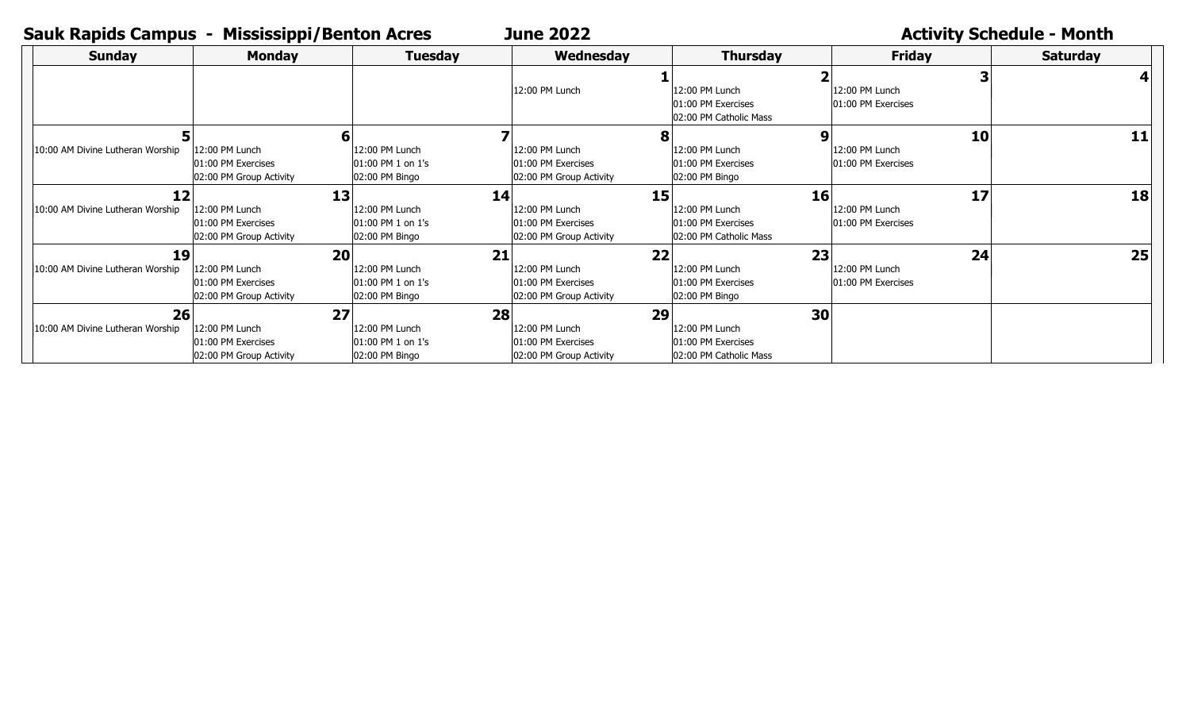## **Sauk Rapids Campus - Mississippi/Benton Acres and June 2022 Material Control Activity Schedule - Month**

**June 2022**

| <b>Sunday</b>                          | <b>Monday</b>                                                         | <b>Tuesday</b>                                              | Wednesday                                                             | <b>Thursday</b>                                                      | <b>Friday</b>                              | <b>Saturday</b> |
|----------------------------------------|-----------------------------------------------------------------------|-------------------------------------------------------------|-----------------------------------------------------------------------|----------------------------------------------------------------------|--------------------------------------------|-----------------|
|                                        |                                                                       |                                                             | 12:00 PM Lunch                                                        | 12:00 PM Lunch<br>01:00 PM Exercises<br>02:00 PM Catholic Mass       | 12:00 PM Lunch<br>01:00 PM Exercises       |                 |
| 10:00 AM Divine Lutheran Worship       | 12:00 PM Lunch<br>01:00 PM Exercises<br>02:00 PM Group Activity       | 12:00 PM Lunch<br>l01:00 PM 1 on 1's<br>02:00 PM Bingo      | 12:00 PM Lunch<br>01:00 PM Exercises<br>02:00 PM Group Activity       | 12:00 PM Lunch<br>01:00 PM Exercises<br>02:00 PM Bingo               | 10<br>12:00 PM Lunch<br>01:00 PM Exercises | 11              |
| 12<br>10:00 AM Divine Lutheran Worship | 13<br>12:00 PM Lunch<br>01:00 PM Exercises<br>02:00 PM Group Activity | 14<br>12:00 PM Lunch<br>01:00 PM 1 on 1's<br>02:00 PM Bingo | 15<br>12:00 PM Lunch<br>01:00 PM Exercises<br>02:00 PM Group Activity | 16<br>12:00 PM Lunch<br>01:00 PM Exercises<br>02:00 PM Catholic Mass | 17<br>12:00 PM Lunch<br>01:00 PM Exercises | 18              |
| 19<br>10:00 AM Divine Lutheran Worship | 20<br>12:00 PM Lunch<br>01:00 PM Exercises<br>02:00 PM Group Activity | 21<br>12:00 PM Lunch<br>01:00 PM 1 on 1's<br>02:00 PM Bingo | 22<br>12:00 PM Lunch<br>01:00 PM Exercises<br>02:00 PM Group Activity | 23<br>12:00 PM Lunch<br>01:00 PM Exercises<br>02:00 PM Bingo         | 24<br>12:00 PM Lunch<br>01:00 PM Exercises | 25              |
| 26<br>10:00 AM Divine Lutheran Worship | 27<br>12:00 PM Lunch<br>01:00 PM Exercises<br>02:00 PM Group Activity | 28<br>12:00 PM Lunch<br>01:00 PM 1 on 1's<br>02:00 PM Bingo | 29<br>12:00 PM Lunch<br>01:00 PM Exercises<br>02:00 PM Group Activity | 30<br>12:00 PM Lunch<br>01:00 PM Exercises<br>02:00 PM Catholic Mass |                                            |                 |